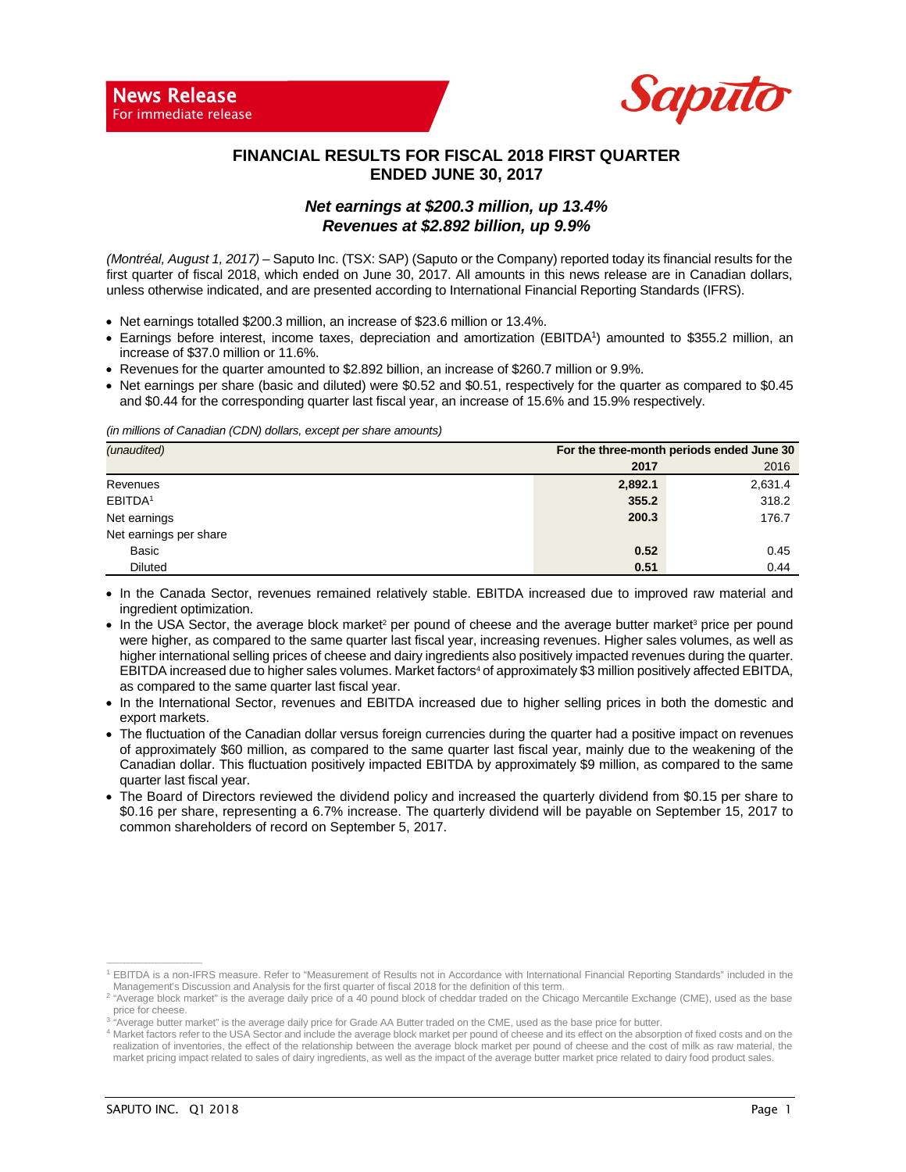

### **FINANCIAL RESULTS FOR FISCAL 2018 FIRST QUARTER ENDED JUNE 30, 2017**

### *Net earnings at \$200.3 million, up 13.4% Revenues at \$2.892 billion, up 9.9%*

*(Montréal, August 1, 2017) –* Saputo Inc. (TSX: SAP) (Saputo or the Company) reported today its financial results for the first quarter of fiscal 2018, which ended on June 30, 2017. All amounts in this news release are in Canadian dollars, unless otherwise indicated, and are presented according to International Financial Reporting Standards (IFRS).

- Net earnings totalled \$200.3 million, an increase of \$23.6 million or 13.4%.
- Earnings before interest, income taxes, depreciation and amortization (EBITDA1) amounted to \$355.2 million, an increase of \$37.0 million or 11.6%.
- Revenues for the quarter amounted to \$2.892 billion, an increase of \$260.7 million or 9.9%.
- Net earnings per share (basic and diluted) were \$0.52 and \$0.51, respectively for the quarter as compared to \$0.45 and \$0.44 for the corresponding quarter last fiscal year, an increase of 15.6% and 15.9% respectively.

*(in millions of Canadian (CDN) dollars, except per share amounts)*

| (unaudited)            | For the three-month periods ended June 30 |         |  |  |  |
|------------------------|-------------------------------------------|---------|--|--|--|
|                        | 2017                                      | 2016    |  |  |  |
| Revenues               | 2,892.1                                   | 2,631.4 |  |  |  |
| EBITDA <sup>1</sup>    | 355.2                                     | 318.2   |  |  |  |
| Net earnings           | 200.3                                     | 176.7   |  |  |  |
| Net earnings per share |                                           |         |  |  |  |
| Basic                  | 0.52                                      | 0.45    |  |  |  |
| <b>Diluted</b>         | 0.51                                      | 0.44    |  |  |  |

• In the Canada Sector, revenues remained relatively stable. EBITDA increased due to improved raw material and ingredient optimization.

- In the USA Sector, the average block market<sup>2</sup> per pound of cheese and the average butter market<sup>3</sup> price per pound were higher, as compared to the same quarter last fiscal year, increasing revenues. Higher sales volumes, as well as higher international selling prices of cheese and dairy ingredients also positively impacted revenues during the quarter. EBITDA increased due to higher sales volumes. Market factors<sup>4</sup> of approximately \$3 million positively affected EBITDA, as compared to the same quarter last fiscal year.
- In the International Sector, revenues and EBITDA increased due to higher selling prices in both the domestic and export markets.
- The fluctuation of the Canadian dollar versus foreign currencies during the quarter had a positive impact on revenues of approximately \$60 million, as compared to the same quarter last fiscal year, mainly due to the weakening of the Canadian dollar. This fluctuation positively impacted EBITDA by approximately \$9 million, as compared to the same quarter last fiscal year.
- The Board of Directors reviewed the dividend policy and increased the quarterly dividend from \$0.15 per share to \$0.16 per share, representing a 6.7% increase. The quarterly dividend will be payable on September 15, 2017 to common shareholders of record on September 5, 2017.

**\_\_\_\_\_\_\_\_\_\_\_\_\_\_\_\_\_\_\_\_\_\_\_\_\_\_\_**

<sup>1</sup> EBITDA is a non-IFRS measure. Refer to "Measurement of Results not in Accordance with International Financial Reporting Standards" included in the Management's Discussion and Analysis for the first quarter of fiscal 2018 for the definition of this term.

<sup>&</sup>lt;sup>2</sup> "Average block market" is the average daily price of a 40 pound block of cheddar traded on the Chicago Mercantile Exchange (CME), used as the base

price for cheese. <sup>3</sup> "Average butter market" is the average daily price for Grade AA Butter traded on the CME, used as the base price for butter.

<sup>4</sup> Market factors refer to the USA Sector and include the average block market per pound of cheese and its effect on the absorption of fixed costs and on the realization of inventories, the effect of the relationship between the average block market per pound of cheese and the cost of milk as raw material, the market pricing impact related to sales of dairy ingredients, as well as the impact of the average butter market price related to dairy food product sales.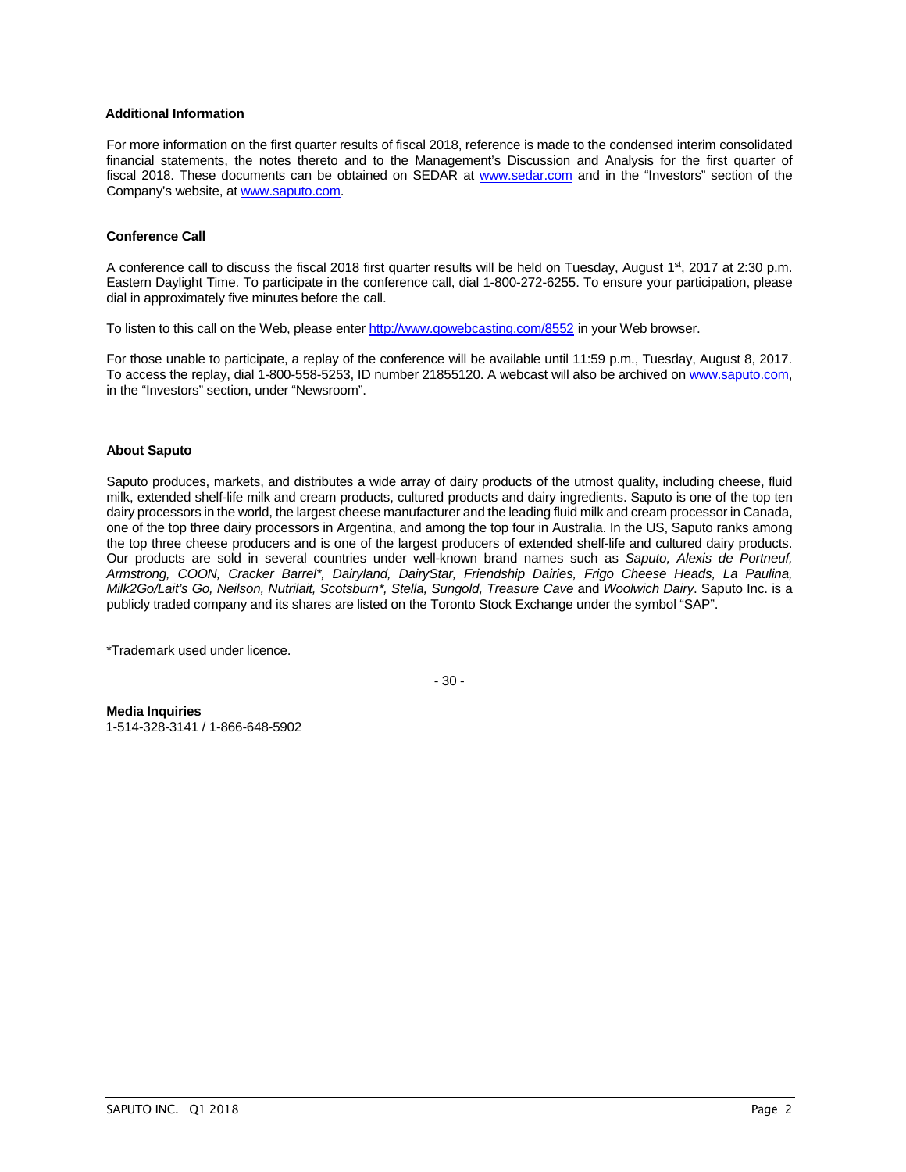#### **Additional Information**

For more information on the first quarter results of fiscal 2018, reference is made to the condensed interim consolidated financial statements, the notes thereto and to the Management's Discussion and Analysis for the first quarter of fiscal 2018. These documents can be obtained on SEDAR at [www.sedar.com](http://www.sedar.com/) and in the "Investors" section of the Company's website, at [www.saputo.com.](http://www.saputo.com/)

#### **Conference Call**

A conference call to discuss the fiscal 2018 first quarter results will be held on Tuesday, August 1<sup>st</sup>, 2017 at 2:30 p.m. Eastern Daylight Time. To participate in the conference call, dial 1-800-272-6255. To ensure your participation, please dial in approximately five minutes before the call.

To listen to this call on the Web, please ente[r http://www.gowebcasting.com/8552](http://www.gowebcasting.com/8552) in your Web browser.

For those unable to participate, a replay of the conference will be available until 11:59 p.m., Tuesday, August 8, 2017. To access the replay, dial 1-800-558-5253, ID number 21855120. A webcast will also be archived on [www.saputo.com,](http://www.saputo.com/) in the "Investors" section, under "Newsroom".

#### **About Saputo**

Saputo produces, markets, and distributes a wide array of dairy products of the utmost quality, including cheese, fluid milk, extended shelf-life milk and cream products, cultured products and dairy ingredients. Saputo is one of the top ten dairy processors in the world, the largest cheese manufacturer and the leading fluid milk and cream processor in Canada, one of the top three dairy processors in Argentina, and among the top four in Australia. In the US, Saputo ranks among the top three cheese producers and is one of the largest producers of extended shelf-life and cultured dairy products. Our products are sold in several countries under well-known brand names such as *Saputo, Alexis de Portneuf, Armstrong, COON, Cracker Barrel\*, Dairyland, DairyStar, Friendship Dairies, Frigo Cheese Heads, La Paulina, Milk2Go/Lait's Go, Neilson, Nutrilait, Scotsburn\*, Stella, Sungold, Treasure Cave* and *Woolwich Dairy*. Saputo Inc. is a publicly traded company and its shares are listed on the Toronto Stock Exchange under the symbol "SAP".

\*Trademark used under licence.

- 30 -

**Media Inquiries** 1-514-328-3141 / 1-866-648-5902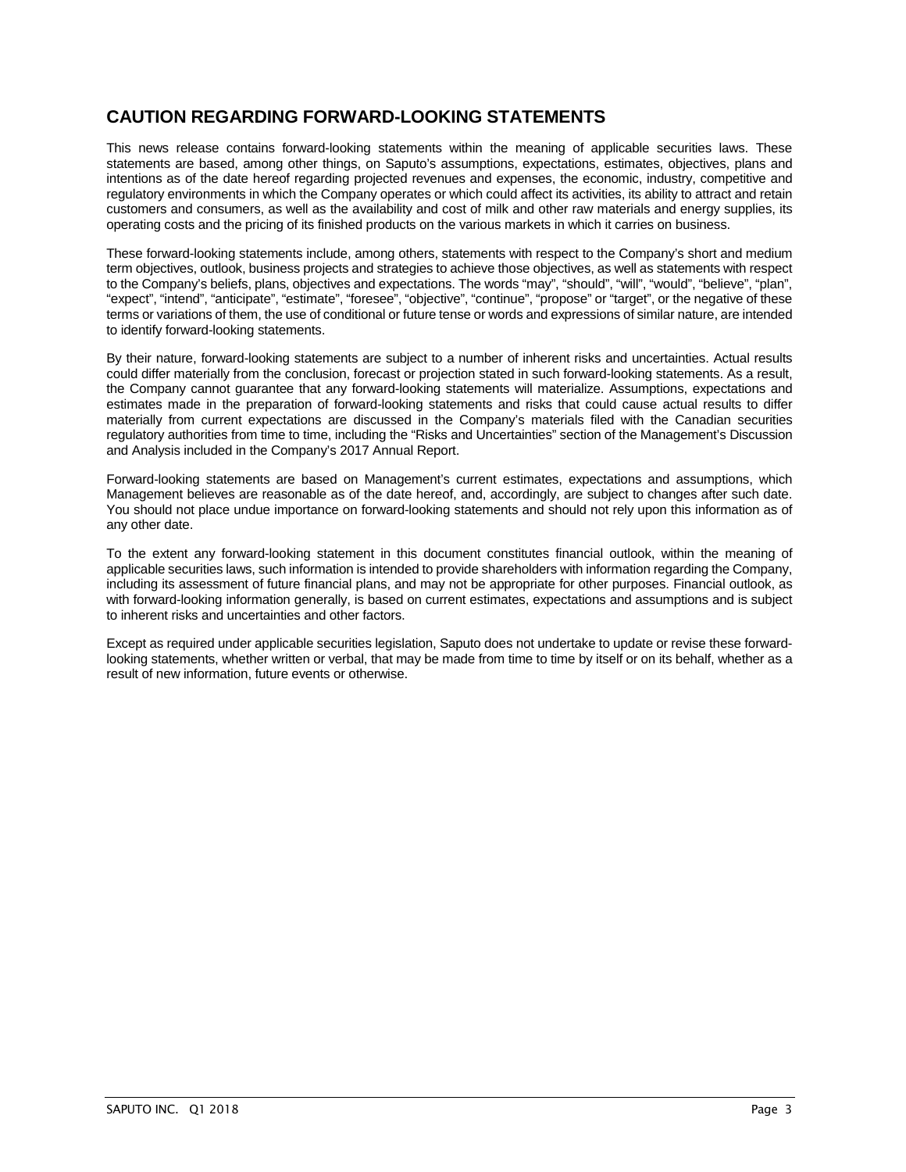# **CAUTION REGARDING FORWARD-LOOKING STATEMENTS**

This news release contains forward-looking statements within the meaning of applicable securities laws. These statements are based, among other things, on Saputo's assumptions, expectations, estimates, objectives, plans and intentions as of the date hereof regarding projected revenues and expenses, the economic, industry, competitive and regulatory environments in which the Company operates or which could affect its activities, its ability to attract and retain customers and consumers, as well as the availability and cost of milk and other raw materials and energy supplies, its operating costs and the pricing of its finished products on the various markets in which it carries on business.

These forward-looking statements include, among others, statements with respect to the Company's short and medium term objectives, outlook, business projects and strategies to achieve those objectives, as well as statements with respect to the Company's beliefs, plans, objectives and expectations. The words "may", "should", "will", "would", "believe", "plan", "expect", "intend", "anticipate", "estimate", "foresee", "objective", "continue", "propose" or "target", or the negative of these terms or variations of them, the use of conditional or future tense or words and expressions of similar nature, are intended to identify forward-looking statements.

By their nature, forward-looking statements are subject to a number of inherent risks and uncertainties. Actual results could differ materially from the conclusion, forecast or projection stated in such forward-looking statements. As a result, the Company cannot guarantee that any forward-looking statements will materialize. Assumptions, expectations and estimates made in the preparation of forward-looking statements and risks that could cause actual results to differ materially from current expectations are discussed in the Company's materials filed with the Canadian securities regulatory authorities from time to time, including the "Risks and Uncertainties" section of the Management's Discussion and Analysis included in the Company's 2017 Annual Report.

Forward-looking statements are based on Management's current estimates, expectations and assumptions, which Management believes are reasonable as of the date hereof, and, accordingly, are subject to changes after such date. You should not place undue importance on forward-looking statements and should not rely upon this information as of any other date.

To the extent any forward-looking statement in this document constitutes financial outlook, within the meaning of applicable securities laws, such information is intended to provide shareholders with information regarding the Company, including its assessment of future financial plans, and may not be appropriate for other purposes. Financial outlook, as with forward-looking information generally, is based on current estimates, expectations and assumptions and is subject to inherent risks and uncertainties and other factors.

Except as required under applicable securities legislation, Saputo does not undertake to update or revise these forwardlooking statements, whether written or verbal, that may be made from time to time by itself or on its behalf, whether as a result of new information, future events or otherwise.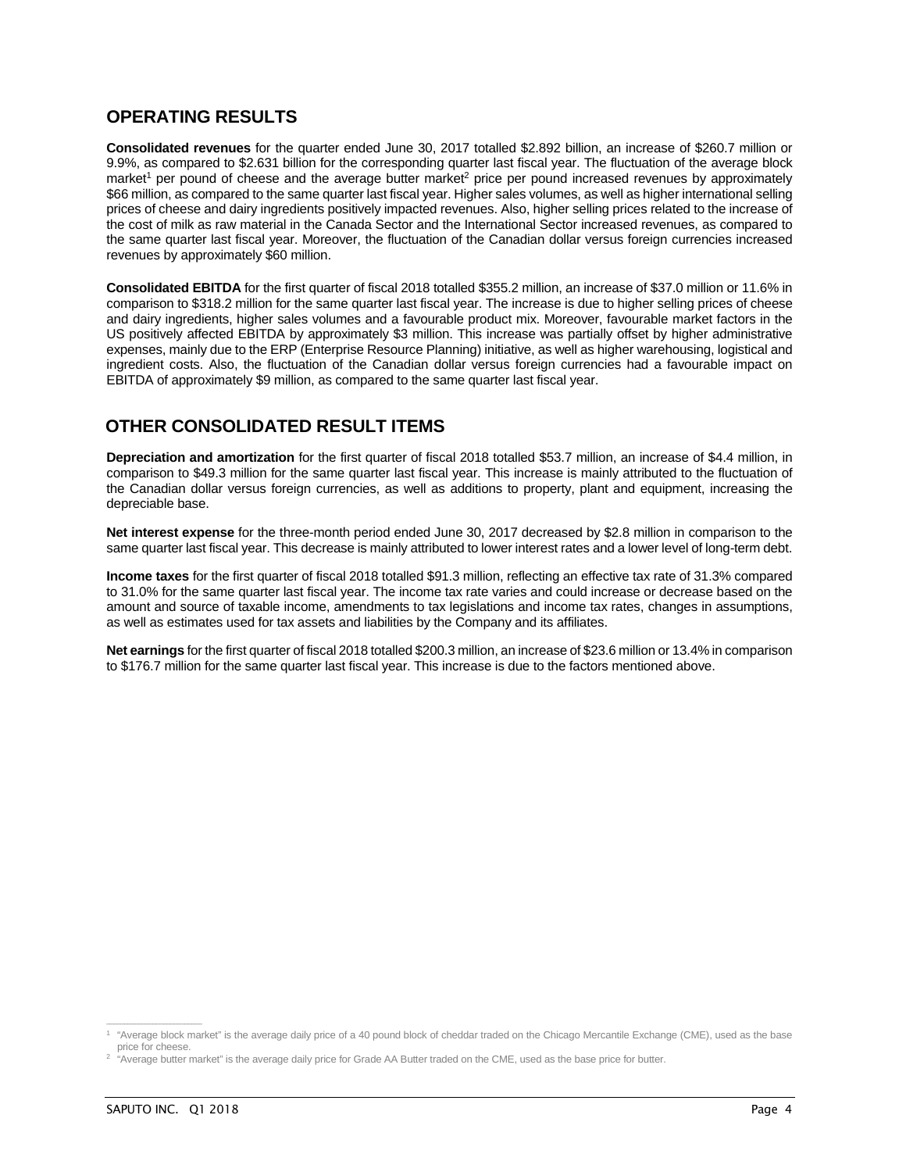## **OPERATING RESULTS**

**Consolidated revenues** for the quarter ended June 30, 2017 totalled \$2.892 billion, an increase of \$260.7 million or 9.9%, as compared to \$2.631 billion for the corresponding quarter last fiscal year. The fluctuation of the average block market<sup>1</sup> per pound of cheese and the average butter market<sup>2</sup> price per pound increased revenues by approximately \$66 million, as compared to the same quarter last fiscal year. Higher sales volumes, as well as higher international selling prices of cheese and dairy ingredients positively impacted revenues. Also, higher selling prices related to the increase of the cost of milk as raw material in the Canada Sector and the International Sector increased revenues, as compared to the same quarter last fiscal year. Moreover, the fluctuation of the Canadian dollar versus foreign currencies increased revenues by approximately \$60 million.

**Consolidated EBITDA** for the first quarter of fiscal 2018 totalled \$355.2 million, an increase of \$37.0 million or 11.6% in comparison to \$318.2 million for the same quarter last fiscal year. The increase is due to higher selling prices of cheese and dairy ingredients, higher sales volumes and a favourable product mix. Moreover, favourable market factors in the US positively affected EBITDA by approximately \$3 million. This increase was partially offset by higher administrative expenses, mainly due to the ERP (Enterprise Resource Planning) initiative, as well as higher warehousing, logistical and ingredient costs. Also, the fluctuation of the Canadian dollar versus foreign currencies had a favourable impact on EBITDA of approximately \$9 million, as compared to the same quarter last fiscal year.

## **OTHER CONSOLIDATED RESULT ITEMS**

**Depreciation and amortization** for the first quarter of fiscal 2018 totalled \$53.7 million, an increase of \$4.4 million, in comparison to \$49.3 million for the same quarter last fiscal year. This increase is mainly attributed to the fluctuation of the Canadian dollar versus foreign currencies, as well as additions to property, plant and equipment, increasing the depreciable base.

**Net interest expense** for the three-month period ended June 30, 2017 decreased by \$2.8 million in comparison to the same quarter last fiscal year. This decrease is mainly attributed to lower interest rates and a lower level of long-term debt.

**Income taxes** for the first quarter of fiscal 2018 totalled \$91.3 million, reflecting an effective tax rate of 31.3% compared to 31.0% for the same quarter last fiscal year. The income tax rate varies and could increase or decrease based on the amount and source of taxable income, amendments to tax legislations and income tax rates, changes in assumptions, as well as estimates used for tax assets and liabilities by the Company and its affiliates.

**Net earnings** for the first quarter of fiscal 2018 totalled \$200.3 million, an increase of \$23.6 million or 13.4% in comparison to \$176.7 million for the same quarter last fiscal year. This increase is due to the factors mentioned above.

**\_\_\_\_\_\_\_\_\_\_\_\_\_\_\_\_\_\_\_\_\_\_\_\_\_\_\_**

<sup>1</sup> "Average block market" is the average daily price of a 40 pound block of cheddar traded on the Chicago Mercantile Exchange (CME), used as the base price for cheese.

<sup>2</sup> "Average butter market" is the average daily price for Grade AA Butter traded on the CME, used as the base price for butter.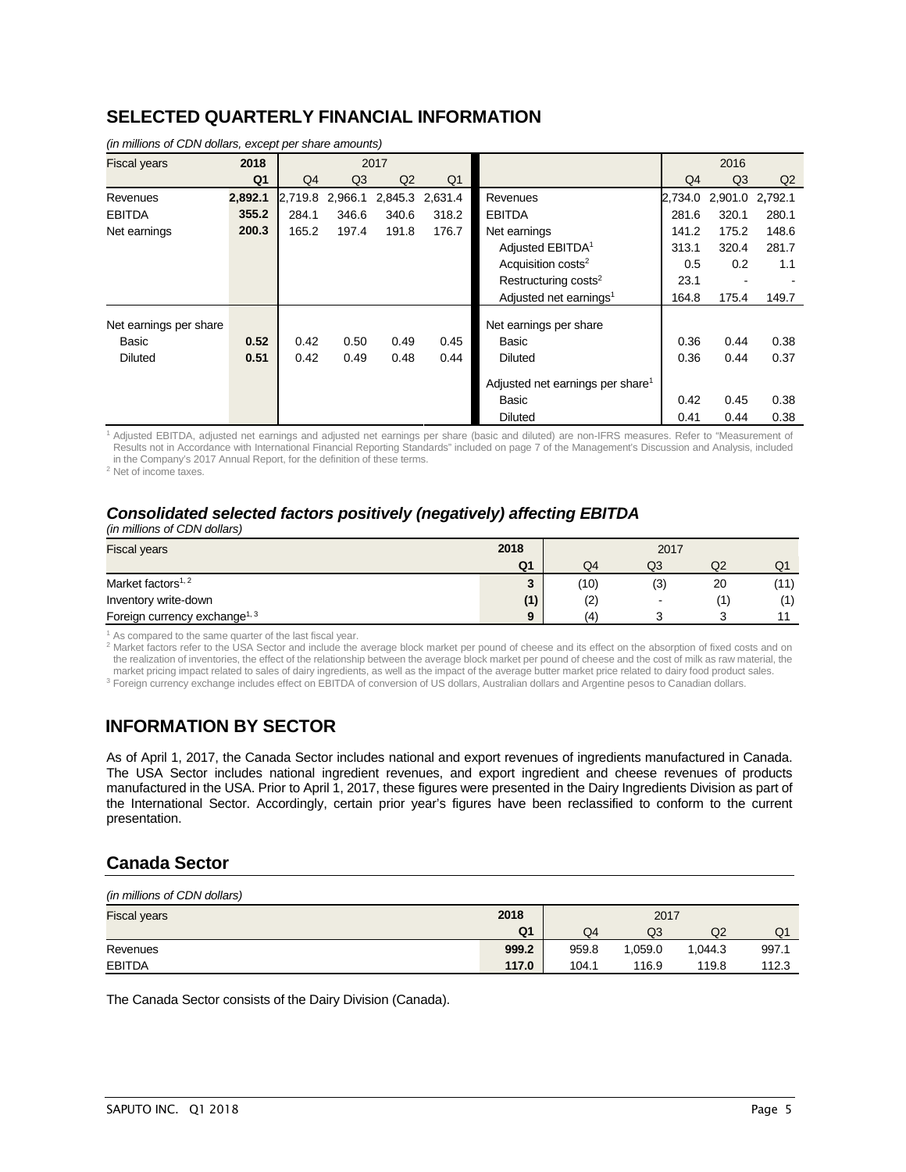## **SELECTED QUARTERLY FINANCIAL INFORMATION**

|                        |                |         |                |                 |                |                                              |                | 2016            |       |  |
|------------------------|----------------|---------|----------------|-----------------|----------------|----------------------------------------------|----------------|-----------------|-------|--|
| <b>Fiscal years</b>    | 2018           |         |                | 2017            |                |                                              |                |                 |       |  |
|                        | Q <sub>1</sub> | Q4      | Q <sub>3</sub> | Q2              | Q <sub>1</sub> |                                              | Q <sub>4</sub> | Q3              | Q2    |  |
| Revenues               | 2,892.1        | 2,719.8 | 2,966.1        | 2,845.3 2,631.4 |                | Revenues                                     | 2.734.0        | 2,901.0 2,792.1 |       |  |
| <b>EBITDA</b>          | 355.2          | 284.1   | 346.6          | 340.6           | 318.2          | <b>EBITDA</b>                                | 281.6          | 320.1           | 280.1 |  |
| Net earnings           | 200.3          | 165.2   | 197.4          | 191.8           | 176.7          | Net earnings                                 | 141.2          | 175.2           | 148.6 |  |
|                        |                |         |                |                 |                | Adjusted EBITDA <sup>1</sup>                 | 313.1          | 320.4           | 281.7 |  |
|                        |                |         |                |                 |                | Acquisition costs <sup>2</sup>               | 0.5            | 0.2             | 1.1   |  |
|                        |                |         |                |                 |                | Restructuring costs <sup>2</sup>             |                |                 |       |  |
|                        |                |         |                |                 |                | Adjusted net earnings <sup>1</sup>           | 164.8          | 175.4           | 149.7 |  |
| Net earnings per share |                |         |                |                 |                | Net earnings per share                       |                |                 |       |  |
| Basic                  | 0.52           | 0.42    | 0.50           | 0.49            | 0.45           | Basic                                        | 0.36           | 0.44            | 0.38  |  |
| <b>Diluted</b>         | 0.51           | 0.42    | 0.49           | 0.48            | 0.44           | <b>Diluted</b>                               | 0.36           | 0.44            | 0.37  |  |
|                        |                |         |                |                 |                | Adjusted net earnings per share <sup>1</sup> |                |                 |       |  |
|                        |                |         |                |                 |                | Basic                                        | 0.42           | 0.45            | 0.38  |  |
|                        |                |         |                |                 |                | <b>Diluted</b>                               | 0.41           | 0.44            | 0.38  |  |

*(in millions of CDN dollars, except per share amounts)*

<sup>1</sup> Adjusted EBITDA, adjusted net earnings and adjusted net earnings per share (basic and diluted) are non-IFRS measures. Refer to "Measurement of Results not in Accordance with International Financial Reporting Standards" included on page 7 of the Management's Discussion and Analysis, included in the Company's 2017 Annual Report, for the definition of these terms.

<sup>2</sup> Net of income taxes.

# *Consolidated selected factors positively (negatively) affecting EBITDA*

*(in millions of CDN dollars)*

| <b>Fiscal years</b>                       | 2018                   | 2017 |                          |    |    |
|-------------------------------------------|------------------------|------|--------------------------|----|----|
|                                           | Q <sub>1</sub>         | Q4   | Q3                       | Q2 | Q1 |
| Market factors <sup>1, 2</sup>            | $\mathbf{\Omega}$<br>J | (10) | (3)                      | 20 |    |
| Inventory write-down                      | (1)                    | (2)  | $\overline{\phantom{a}}$ |    |    |
| Foreign currency exchange <sup>1, 3</sup> | 9                      | (4   |                          |    |    |

 $1$  As compared to the same quarter of the last fiscal year.

2 Market factors refer to the USA Sector and include the average block market per pound of cheese and its effect on the absorption of fixed costs and on the realization of inventories, the effect of the relationship between the average block market per pound of cheese and the cost of milk as raw material, the market pricing impact related to sales of dairy ingredients, as well as the impact of the average butter market price related to dairy food product sales. <sup>3</sup> Foreign currency exchange includes effect on EBITDA of conversion of US dollars, Australian dollars and Argentine pesos to Canadian dollars.

# **INFORMATION BY SECTOR**

As of April 1, 2017, the Canada Sector includes national and export revenues of ingredients manufactured in Canada. The USA Sector includes national ingredient revenues, and export ingredient and cheese revenues of products manufactured in the USA. Prior to April 1, 2017, these figures were presented in the Dairy Ingredients Division as part of the International Sector. Accordingly, certain prior year's figures have been reclassified to conform to the current presentation.

## **Canada Sector**

| (in millions of CDN dollars) |                |       |         |         |       |  |
|------------------------------|----------------|-------|---------|---------|-------|--|
| <b>Fiscal years</b>          | 2018           | 2017  |         |         |       |  |
|                              | Q <sub>1</sub> | Q4    | Q3      | Q2      | Q1    |  |
| Revenues                     | 999.2          | 959.8 | 1.059.0 | 1.044.3 | 997.  |  |
| <b>EBITDA</b>                | 117.0          | 104.1 | 116.9   | 119.8   | 112.3 |  |

The Canada Sector consists of the Dairy Division (Canada).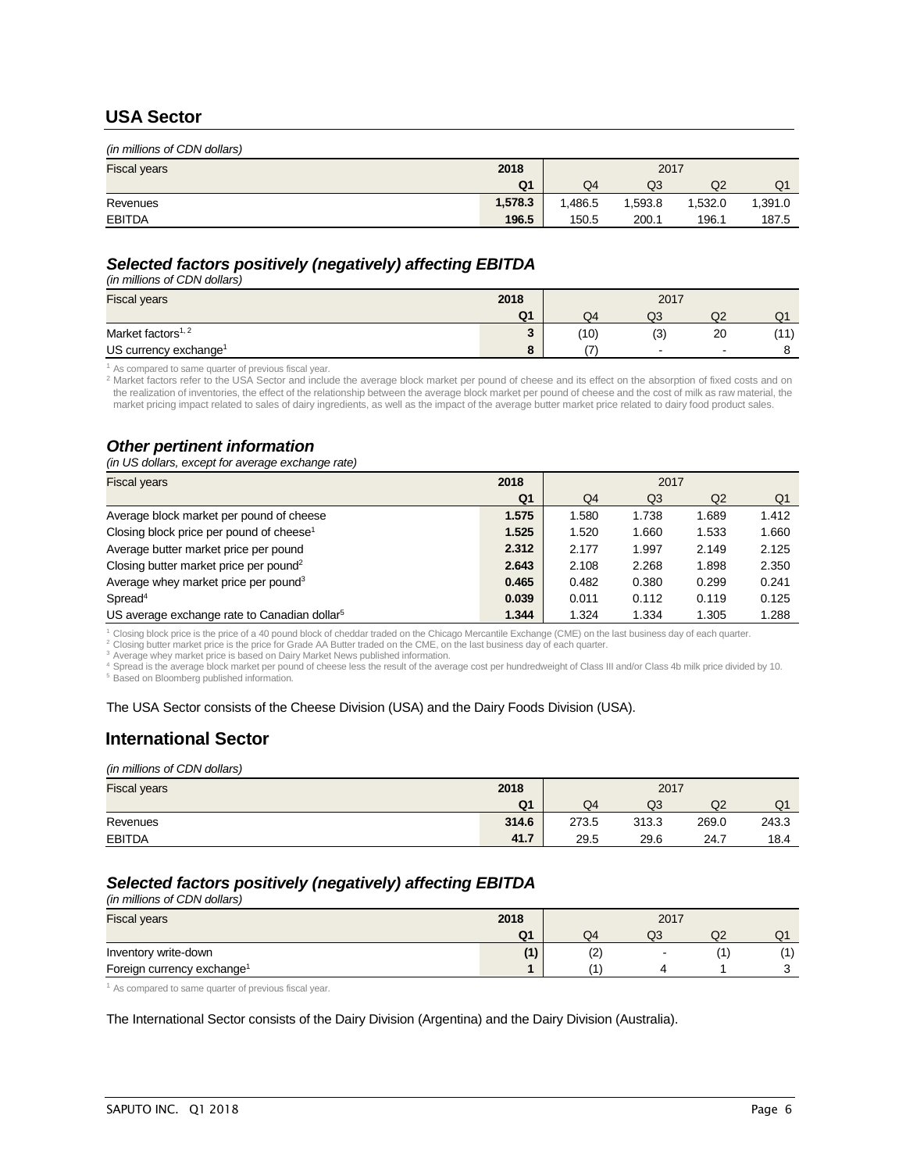### **USA Sector**

| (in millions of CDN dollars) |         |         |        |         |         |  |
|------------------------------|---------|---------|--------|---------|---------|--|
| <b>Fiscal years</b>          | 2018    | 2017    |        |         |         |  |
|                              | Q1      | Q4      | Q3     | Q2      | Q1      |  |
| Revenues                     | 1,578.3 | ',486.5 | .593.8 | 1,532.0 | 1,391.0 |  |
| <b>EBITDA</b>                | 196.5   | 150.5   | 200.1  | 196.1   | 187.5   |  |

### *Selected factors positively (negatively) affecting EBITDA*

*(in millions of CDN dollars)* 

| <b>Fiscal years</b>               | 2018                | 2017 |                          |        |                 |
|-----------------------------------|---------------------|------|--------------------------|--------|-----------------|
|                                   | Q <sub>1</sub>      | Q4   | Q3                       | Q2     | $\mathbf{u}$    |
| Market factors <sup>1, 2</sup>    | $\bullet$<br>$\sim$ | (10) | (3)                      | 20     | (11)<br>. I I J |
| US currency exchange <sup>1</sup> |                     | ־    | $\overline{\phantom{a}}$ | $\sim$ |                 |

<sup>1</sup> As compared to same quarter of previous fiscal year.

<sup>2</sup> Market factors refer to the USA Sector and include the average block market per pound of cheese and its effect on the absorption of fixed costs and on the realization of inventories, the effect of the relationship between the average block market per pound of cheese and the cost of milk as raw material, the market pricing impact related to sales of dairy ingredients, as well as the impact of the average butter market price related to dairy food product sales.

### *Other pertinent information*

*(in US dollars, except for average exchange rate)* 

| <b>Fiscal years</b>                                      | 2018           | 2017  |       |       |       |
|----------------------------------------------------------|----------------|-------|-------|-------|-------|
|                                                          | Q <sub>1</sub> | Q4    | Q3    | Q2    | Q1    |
| Average block market per pound of cheese                 | 1.575          | 1.580 | 1.738 | 1.689 | 1.412 |
| Closing block price per pound of cheese <sup>1</sup>     | 1.525          | 1.520 | 1.660 | 1.533 | 1.660 |
| Average butter market price per pound                    | 2.312          | 2.177 | 1.997 | 2.149 | 2.125 |
| Closing butter market price per pound <sup>2</sup>       | 2.643          | 2.108 | 2.268 | 1.898 | 2.350 |
| Average whey market price per pound <sup>3</sup>         | 0.465          | 0.482 | 0.380 | 0.299 | 0.241 |
| Spread <sup>4</sup>                                      | 0.039          | 0.011 | 0.112 | 0.119 | 0.125 |
| US average exchange rate to Canadian dollar <sup>5</sup> | 1.344          | 1.324 | 1.334 | 1.305 | 1.288 |

<sup>1</sup> Closing block price is the price of a 40 pound block of cheddar traded on the Chicago Mercantile Exchange (CME) on the last business day of each quarter.

<sup>2</sup> Closing butter market price is the price for Grade AA Butter traded on the CME, on the last business day of each quarter.

<sup>3</sup> Average whey market price is based on Dairy Market News published information.

<sup>4</sup> Spread is the average block market per pound of cheese less the result of the average cost per hundredweight of Class III and/or Class 4b milk price divided by 10. <sup>5</sup> Based on Bloomberg published information.

#### The USA Sector consists of the Cheese Division (USA) and the Dairy Foods Division (USA).

## **International Sector**

#### *(in millions of CDN dollars)*

| <b>Fiscal years</b> | 2018           | 2017  |       |       |       |
|---------------------|----------------|-------|-------|-------|-------|
|                     | Q <sub>1</sub> | Q4    | Q3    | Q2    | Q1    |
| Revenues            | 314.6          | 273.5 | 313.3 | 269.0 | 243.3 |
| <b>EBITDA</b>       | 41.7           | 29.5  | 29.6  | 24.7  | 18.4  |

## *Selected factors positively (negatively) affecting EBITDA*

*(in millions of CDN dollars)*  Fiscal years **2018** 2017 **Q1** Q4 Q3 Q2 Q1 **Inventory write-down** (1) (2) - (1) (1) (1) (2) (1) (1) (1) Foreign currency exchange<sup>1</sup> and the contract of the contract of the contract of the contract of the contract of the contract of the contract of the contract of the contract of the contract of the contract of the contract

<sup>1</sup> As compared to same quarter of previous fiscal year.

The International Sector consists of the Dairy Division (Argentina) and the Dairy Division (Australia).